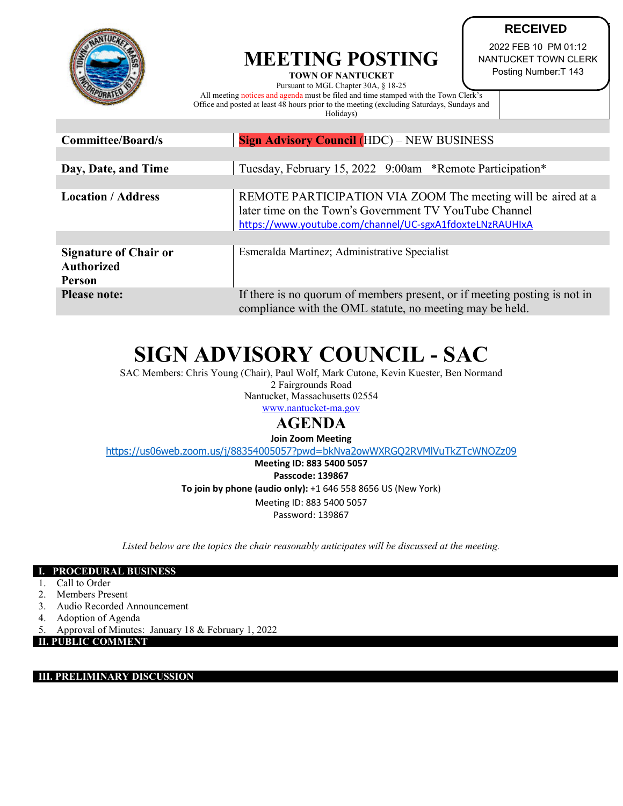

## **MEETING POSTING**

**TOWN OF NANTUCKET**  Pursuant to MGL Chapter 30A, § 18-25 All meeting notices and agenda must be filed and time stamped with the Town Clerk's Office and posted at least 48 hours prior to the meeting (excluding Saturdays, Sundays and Holidays)

**RECEIVED** 2022 FEB 10 PM 01:12 NANTUCKET TOWN CLERK

Posting Number:T 143

| <b>Committee/Board/s</b>                                           | <b>Sign Advisory Council (HDC) – NEW BUSINESS</b>                                                                                                                                  |  |  |
|--------------------------------------------------------------------|------------------------------------------------------------------------------------------------------------------------------------------------------------------------------------|--|--|
|                                                                    |                                                                                                                                                                                    |  |  |
| Day, Date, and Time                                                | Tuesday, February 15, 2022 9:00am *Remote Participation*                                                                                                                           |  |  |
|                                                                    |                                                                                                                                                                                    |  |  |
| <b>Location / Address</b>                                          | REMOTE PARTICIPATION VIA ZOOM The meeting will be aired at a<br>later time on the Town's Government TV YouTube Channel<br>https://www.youtube.com/channel/UC-sgxA1fdoxteLNzRAUHIxA |  |  |
|                                                                    |                                                                                                                                                                                    |  |  |
| <b>Signature of Chair or</b><br><b>Authorized</b><br><b>Person</b> | Esmeralda Martinez; Administrative Specialist                                                                                                                                      |  |  |
| <b>Please note:</b>                                                | If there is no quorum of members present, or if meeting posting is not in<br>compliance with the OML statute, no meeting may be held.                                              |  |  |

# **SIGN ADVISORY COUNCIL - SAC**

SAC Members: Chris Young (Chair), Paul Wolf, Mark Cutone, Kevin Kuester, Ben Normand 2 Fairgrounds Road Nantucket, Massachusetts 02554

[www.nantucket-ma.gov](http://www.nantucket-ma.gov/)

### **AGENDA**

**Join Zoom Meeting**

<https://us06web.zoom.us/j/88354005057?pwd=bkNva2owWXRGQ2RVMlVuTkZTcWNOZz09>

**Meeting ID: 883 5400 5057 Passcode: 139867 To join by phone (audio only):** +1 646 558 8656 US (New York) Meeting ID: 883 5400 5057 Password: 139867

*Listed below are the topics the chair reasonably anticipates will be discussed at the meeting.*

#### **I. PROCEDURAL BUSINESS**

- 1. Call to Order
- 2. Members Present
- 3. Audio Recorded Announcement
- 4. Adoption of Agenda
- 5. Approval of Minutes: January 18 & February 1, 2022

#### **II. PUBLIC COMMENT**

#### **III. PRELIMINARY DISCUSSION**